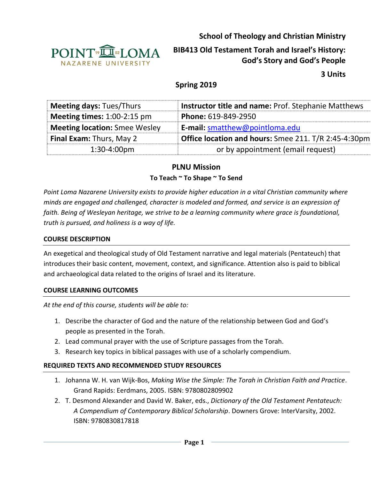

**School of Theology and Christian Ministry**

# **BIB413 Old Testament Torah and Israel's History: God's Story and God's People**

**3 Units**

# **Spring 2019**

| <b>Meeting days: Tues/Thurs</b>      | <b>Instructor title and name: Prof. Stephanie Matthews</b> |
|--------------------------------------|------------------------------------------------------------|
| <b>Meeting times:</b> $1:00-2:15$ pm | Phone: 619-849-2950                                        |
| <b>Meeting location:</b> Smee Wesley | E-mail: smatthew@pointloma.edu                             |
| <b>Final Exam: Thurs, May 2</b>      | Office location and hours: Smee 211. T/R 2:45-4:30pm       |
| $1:30-4:00$ pm                       | or by appointment (email request)                          |

## **PLNU Mission**

#### **To Teach ~ To Shape ~ To Send**

*Point Loma Nazarene University exists to provide higher education in a vital Christian community where minds are engaged and challenged, character is modeled and formed, and service is an expression of faith. Being of Wesleyan heritage, we strive to be a learning community where grace is foundational, truth is pursued, and holiness is a way of life.*

#### **COURSE DESCRIPTION**

An exegetical and theological study of Old Testament narrative and legal materials (Pentateuch) that introduces their basic content, movement, context, and significance. Attention also is paid to biblical and archaeological data related to the origins of Israel and its literature.

#### **COURSE LEARNING OUTCOMES**

*At the end of this course, students will be able to:*

- 1. Describe the character of God and the nature of the relationship between God and God's people as presented in the Torah.
- 2. Lead communal prayer with the use of Scripture passages from the Torah.
- 3. Research key topics in biblical passages with use of a scholarly compendium.

#### **REQUIRED TEXTS AND RECOMMENDED STUDY RESOURCES**

- 1. Johanna W. H. van Wijk-Bos, *Making Wise the Simple: The Torah in Christian Faith and Practice*. Grand Rapids: Eerdmans, 2005. ISBN: 9780802809902
- 2. T. Desmond Alexander and David W. Baker, eds., *Dictionary of the Old Testament Pentateuch: A Compendium of Contemporary Biblical Scholarship*. Downers Grove: InterVarsity, 2002. ISBN: 9780830817818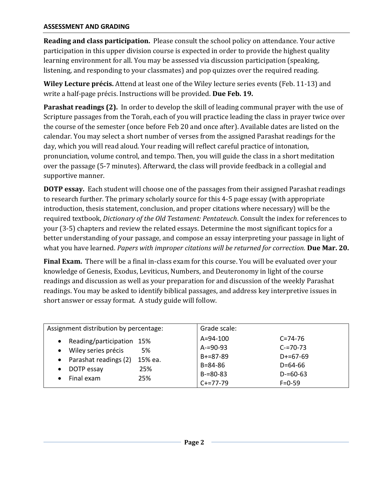**Reading and class participation.** Please consult the school policy on attendance. Your active participation in this upper division course is expected in order to provide the highest quality learning environment for all. You may be assessed via discussion participation (speaking, listening, and responding to your classmates) and pop quizzes over the required reading.

**Wiley Lecture précis.** Attend at least one of the Wiley lecture series events (Feb. 11-13) and write a half-page précis. Instructions will be provided. **Due Feb. 19.**

**Parashat readings (2).** In order to develop the skill of leading communal prayer with the use of Scripture passages from the Torah, each of you will practice leading the class in prayer twice over the course of the semester (once before Feb 20 and once after). Available dates are listed on the calendar. You may select a short number of verses from the assigned Parashat readings for the day, which you will read aloud. Your reading will reflect careful practice of intonation, pronunciation, volume control, and tempo. Then, you will guide the class in a short meditation over the passage (5-7 minutes). Afterward, the class will provide feedback in a collegial and supportive manner.

**DOTP essay.** Each student will choose one of the passages from their assigned Parashat readings to research further. The primary scholarly source for this 4-5 page essay (with appropriate introduction, thesis statement, conclusion, and proper citations where necessary) will be the required textbook, *Dictionary of the Old Testament: Pentateuch*. Consult the index for references to your (3-5) chapters and review the related essays. Determine the most significant topics for a better understanding of your passage, and compose an essay interpreting your passage in light of what you have learned. *Papers with improper citations will be returned for correction.* **Due Mar. 20.**

**Final Exam.** There will be a final in-class exam for this course. You will be evaluated over your knowledge of Genesis, Exodus, Leviticus, Numbers, and Deuteronomy in light of the course readings and discussion as well as your preparation for and discussion of the weekly Parashat readings. You may be asked to identify biblical passages, and address key interpretive issues in short answer or essay format. A study guide will follow.

| Assignment distribution by percentage:                                                                                                                                                      | Grade scale:                                                                            |                                                                                                |
|---------------------------------------------------------------------------------------------------------------------------------------------------------------------------------------------|-----------------------------------------------------------------------------------------|------------------------------------------------------------------------------------------------|
| Reading/participation<br>15%<br>$\bullet$<br>Wiley series précis<br>5%<br>$\bullet$<br>Parashat readings (2)<br>15% ea.<br>$\bullet$<br>25%<br>DOTP essay<br>$\bullet$<br>Final exam<br>25% | A=94-100<br>$A = 90 - 93$<br>$B+=87-89$<br>$B = 84 - 86$<br>$B = 80 - 83$<br>$C+=77-79$ | $C = 74 - 76$<br>$C = 70 - 73$<br>$D+=67-69$<br>$D = 64 - 66$<br>$D = 60 - 63$<br>$F = 0 - 59$ |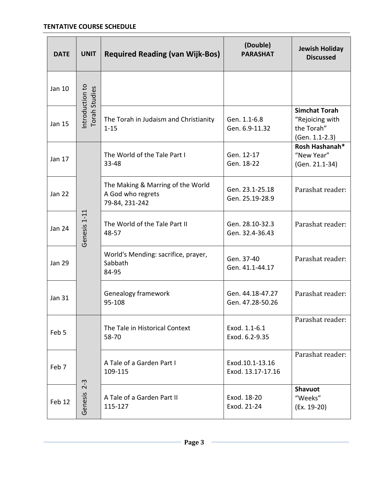| <b>DATE</b>   | <b>UNIT</b>                      | <b>Required Reading (van Wijk-Bos)</b>                                   | (Double)<br><b>PARASHAT</b>          | <b>Jewish Holiday</b><br><b>Discussed</b>                               |
|---------------|----------------------------------|--------------------------------------------------------------------------|--------------------------------------|-------------------------------------------------------------------------|
| Jan 10        | Introduction to<br>Torah Studies |                                                                          |                                      |                                                                         |
| Jan 15        |                                  | The Torah in Judaism and Christianity<br>$1 - 15$                        | Gen. 1.1-6.8<br>Gen. 6.9-11.32       | <b>Simchat Torah</b><br>"Rejoicing with<br>the Torah"<br>(Gen. 1.1-2.3) |
| Jan 17        | Genesis 1-11                     | The World of the Tale Part I<br>33-48                                    | Gen. 12-17<br>Gen. 18-22             | Rosh Hashanah*<br>"New Year"<br>(Gen. 21.1-34)                          |
| <b>Jan 22</b> |                                  | The Making & Marring of the World<br>A God who regrets<br>79-84, 231-242 | Gen. 23.1-25.18<br>Gen. 25.19-28.9   | Parashat reader:                                                        |
| <b>Jan 24</b> |                                  | The World of the Tale Part II<br>48-57                                   | Gen. 28.10-32.3<br>Gen. 32.4-36.43   | Parashat reader:                                                        |
| <b>Jan 29</b> |                                  | World's Mending: sacrifice, prayer,<br>Sabbath<br>84-95                  | Gen. 37-40<br>Gen. 41.1-44.17        | Parashat reader:                                                        |
| <b>Jan 31</b> |                                  | Genealogy framework<br>95-108                                            | Gen. 44.18-47.27<br>Gen. 47.28-50.26 | Parashat reader:                                                        |
| Feb 5         |                                  | The Tale in Historical Context<br>58-70                                  | Exod. 1.1-6.1<br>Exod. 6.2-9.35      | Parashat reader:                                                        |
| Feb 7         |                                  | A Tale of a Garden Part I<br>109-115                                     | Exod.10.1-13.16<br>Exod. 13.17-17.16 | Parashat reader:                                                        |
| Feb 12        | $2 - 3$<br>Genesis               | A Tale of a Garden Part II<br>115-127                                    | Exod. 18-20<br>Exod. 21-24           | <b>Shavuot</b><br>"Weeks"<br>(Ex. 19-20)                                |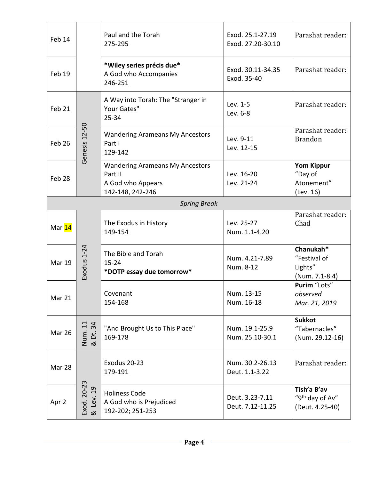| Feb 14              |                           | Paul and the Torah<br>275-295                                                              | Exod. 25.1-27.19<br>Exod. 27.20-30.10 | Parashat reader:                                              |
|---------------------|---------------------------|--------------------------------------------------------------------------------------------|---------------------------------------|---------------------------------------------------------------|
| Feb 19              |                           | *Wiley series précis due*<br>A God who Accompanies<br>246-251                              | Exod. 30.11-34.35<br>Exod. 35-40      | Parashat reader:                                              |
| Feb 21              |                           | A Way into Torah: The "Stranger in<br>Your Gates"<br>$25 - 34$                             | Lev. 1-5<br>Lev. 6-8                  | Parashat reader:                                              |
| Feb 26              | Genesis 12-50             | <b>Wandering Arameans My Ancestors</b><br>Part I<br>129-142                                | Lev. 9-11<br>Lev. 12-15               | Parashat reader:<br><b>Brandon</b>                            |
| Feb 28              |                           | <b>Wandering Arameans My Ancestors</b><br>Part II<br>A God who Appears<br>142-148, 242-246 | Lev. 16-20<br>Lev. 21-24              | <b>Yom Kippur</b><br>"Day of<br>Atonement"<br>(Lev. 16)       |
| <b>Spring Break</b> |                           |                                                                                            |                                       |                                                               |
| Mar 14              |                           | The Exodus in History<br>149-154                                                           | Lev. 25-27<br>Num. 1.1-4.20           | Parashat reader:<br>Chad                                      |
| <b>Mar 19</b>       | Exodus 1-24               | The Bible and Torah<br>$15 - 24$<br>*DOTP essay due tomorrow*                              | Num. 4.21-7.89<br>Num. 8-12           | Chanukah*<br>"Festival of<br>Lights"<br>(Num. 7.1-8.4)        |
| Mar 21              |                           | Covenant<br>154-168                                                                        | Num. 13-15<br>Num. 16-18              | Purim "Lots"<br>observed<br>Mar. 21, 2019                     |
| <b>Mar 26</b>       | Num. 11<br>& Dt. 34<br>34 | "And Brought Us to This Place"<br>169-178                                                  | Num. 19.1-25.9<br>Num. 25.10-30.1     | <b>Sukkot</b><br>"Tabernacles"<br>(Num. 29.12-16)             |
| Mar 28              |                           | Exodus 20-23<br>179-191                                                                    | Num. 30.2-26.13<br>Deut. 1.1-3.22     | Parashat reader:                                              |
| Apr 2               | Exod. 20-23<br>& Lev. 19  | <b>Holiness Code</b><br>A God who is Prejudiced<br>192-202; 251-253                        | Deut. 3.23-7.11<br>Deut. 7.12-11.25   | Tish'a B'av<br>"9 <sup>th</sup> day of Av"<br>(Deut. 4.25-40) |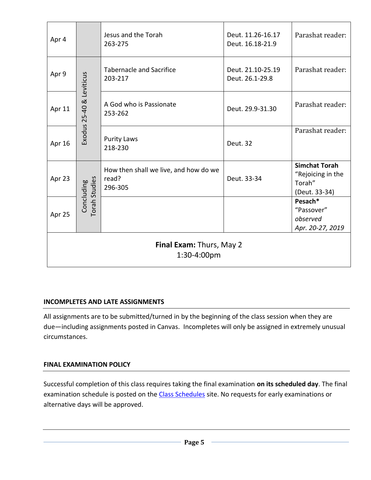| Apr 4                                   |                                    | Jesus and the Torah<br>263-275                            | Deut. 11.26-16.17<br>Deut. 16.18-21.9 | Parashat reader:                                                     |  |
|-----------------------------------------|------------------------------------|-----------------------------------------------------------|---------------------------------------|----------------------------------------------------------------------|--|
| Apr 9                                   | Exodus 25-40 & Leviticus           | <b>Tabernacle and Sacrifice</b><br>203-217                | Deut. 21.10-25.19<br>Deut. 26.1-29.8  | Parashat reader:                                                     |  |
| Apr 11                                  |                                    | A God who is Passionate<br>253-262                        | Deut. 29.9-31.30                      | Parashat reader:                                                     |  |
| Apr 16                                  |                                    | <b>Purity Laws</b><br>218-230                             | Deut. 32                              | Parashat reader:                                                     |  |
| Apr 23                                  |                                    | How then shall we live, and how do we<br>read?<br>296-305 | Deut. 33-34                           | <b>Simchat Torah</b><br>"Rejoicing in the<br>Torah"<br>(Deut. 33-34) |  |
| Apr 25                                  | <b>Torah Studies</b><br>Concluding |                                                           |                                       | Pesach*<br>"Passover"<br>observed<br>Apr. 20-27, 2019                |  |
| Final Exam: Thurs, May 2<br>1:30-4:00pm |                                    |                                                           |                                       |                                                                      |  |

#### **INCOMPLETES AND LATE ASSIGNMENTS**

All assignments are to be submitted/turned in by the beginning of the class session when they are due—including assignments posted in Canvas. Incompletes will only be assigned in extremely unusual circumstances.

#### **FINAL EXAMINATION POLICY**

Successful completion of this class requires taking the final examination **on its scheduled day**. The final examination schedule is posted on the [Class Schedules](http://www.pointloma.edu/experience/academics/class-schedules) site. No requests for early examinations or alternative days will be approved.